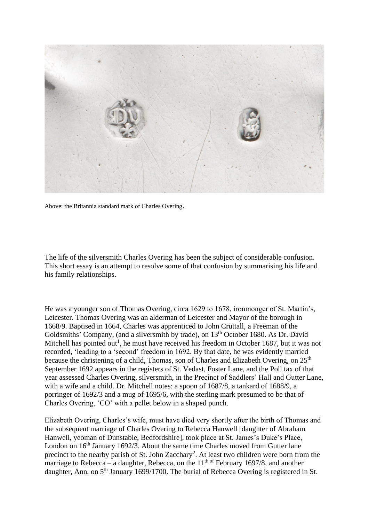

Above: the Britannia standard mark of Charles Overing.

The life of the silversmith Charles Overing has been the subject of considerable confusion. This short essay is an attempt to resolve some of that confusion by summarising his life and his family relationships.

He was a younger son of Thomas Overing, circa 1629 to 1678, ironmonger of St. Martin's, Leicester. Thomas Overing was an alderman of Leicester and Mayor of the borough in 1668/9. Baptised in 1664, Charles was apprenticed to John Cruttall, a Freeman of the Goldsmiths' Company, (and a silversmith by trade), on 13<sup>th</sup> October 1680. As Dr. David Mitchell has pointed out<sup>1</sup>, he must have received his freedom in October 1687, but it was not recorded, 'leading to a 'second' freedom in 1692. By that date, he was evidently married because the christening of a child, Thomas, son of Charles and Elizabeth Overing, on 25<sup>th</sup> September 1692 appears in the registers of St. Vedast, Foster Lane, and the Poll tax of that year assessed Charles Overing, silversmith, in the Precinct of Saddlers' Hall and Gutter Lane, with a wife and a child. Dr. Mitchell notes: a spoon of 1687/8, a tankard of 1688/9, a porringer of 1692/3 and a mug of 1695/6, with the sterling mark presumed to be that of Charles Overing, 'CO' with a pellet below in a shaped punch.

Elizabeth Overing, Charles's wife, must have died very shortly after the birth of Thomas and the subsequent marriage of Charles Overing to Rebecca Hanwell [daughter of Abraham Hanwell, yeoman of Dunstable, Bedfordshire], took place at St. James's Duke's Place, London on  $16<sup>th</sup>$  January 1692/3. About the same time Charles moved from Gutter lane precinct to the nearby parish of St. John Zacchary<sup>2</sup>. At least two children were born from the marriage to Rebecca – a daughter, Rebecca, on the  $11<sup>th of</sup>$  February 1697/8, and another daughter, Ann, on 5<sup>th</sup> January 1699/1700. The burial of Rebecca Overing is registered in St.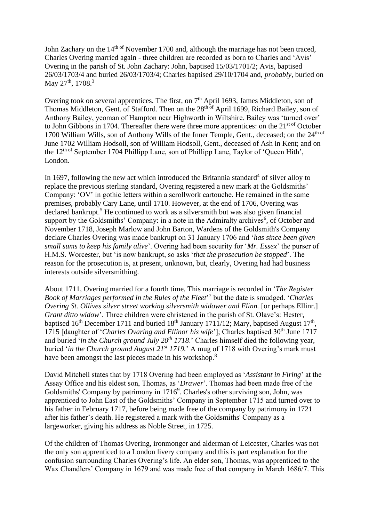John Zachary on the 14<sup>th of</sup> November 1700 and, although the marriage has not been traced, Charles Overing married again - three children are recorded as born to Charles and 'Avis' Overing in the parish of St. John Zachary: John, baptised 15/03/1701/2; Avis, baptised 26/03/1703/4 and buried 26/03/1703/4; Charles baptised 29/10/1704 and, *probably*, buried on May 27<sup>th</sup>, 1708.<sup>3</sup>

Overing took on several apprentices. The first, on  $7<sup>th</sup>$  April 1693, James Middleton, son of Thomas Middleton, Gent. of Stafford. Then on the 28<sup>th of</sup> April 1699, Richard Bailey, son of Anthony Bailey, yeoman of Hampton near Highworth in Wiltshire. Bailey was 'turned over' to John Gibbons in 1704. Thereafter there were three more apprentices: on the  $21<sup>st of</sup> October$ 1700 William Wills, son of Anthony Wills of the Inner Temple, Gent., deceased; on the 24<sup>th of</sup> June 1702 William Hodsoll, son of William Hodsoll, Gent., deceased of Ash in Kent; and on the  $12<sup>th of</sup> September 1704 Philipp Lane, son of Philipp Lane, Taylor of 'Queen Hith',$ London.

In 1697, following the new act which introduced the Britannia standard<sup>4</sup> of silver alloy to replace the previous sterling standard, Overing registered a new mark at the Goldsmiths' Company: 'OV' in gothic letters within a scrollwork cartouche. He remained in the same premises, probably Cary Lane, until 1710. However, at the end of 1706, Overing was declared bankrupt. <sup>5</sup> He continued to work as a silversmith but was also given financial support by the Goldsmiths' Company: in a note in the Admiralty archives<sup>6</sup>, of October and November 1718, Joseph Marlow and John Barton, Wardens of the Goldsmith's Company declare Charles Overing was made bankrupt on 31 January 1706 and '*has since been given small sums to keep his family alive*'. Overing had been security for '*Mr. Essex*' the purser of H.M.S. Worcester, but 'is now bankrupt, so asks '*that the prosecution be stopped*'. The reason for the prosecution is, at present, unknown, but, clearly, Overing had had business interests outside silversmithing.

About 1711, Overing married for a fourth time. This marriage is recorded in '*The Register Book of Marriages performed in the Rules of the Fleet*' 7 but the date is smudged. '*Charles Overing St. Ollives silver street working silversmith widower and Elinn.* [or perhaps Ellinr.] *Grant ditto widow*'. Three children were christened in the parish of St. Olave's: Hester, baptised  $16<sup>th</sup>$  December 1711 and buried  $18<sup>th</sup>$  January 1711/12; Mary, baptised August  $17<sup>th</sup>$ , 1715 [daughter of '*Charles Ovaring and Ellinor his wife*']; Charles baptised 30th June 1717 and buried '*in the Church ground July 20th 1718*.' Charles himself died the following year, buried '*in the Church ground August 21st 1719.*' A mug of 1718 with Overing's mark must have been amongst the last pieces made in his workshop.<sup>8</sup>

David Mitchell states that by 1718 Overing had been employed as '*Assistant in Firing*' at the Assay Office and his eldest son, Thomas, as '*Drawer*'. Thomas had been made free of the Goldsmiths' Company by patrimony in  $1716<sup>9</sup>$ . Charles's other surviving son, John, was apprenticed to John East of the Goldsmiths' Company in September 1715 and turned over to his father in February 1717, before being made free of the company by patrimony in 1721 after his father's death. He registered a mark with the Goldsmiths' Company as a largeworker, giving his address as Noble Street, in 1725.

Of the children of Thomas Overing, ironmonger and alderman of Leicester, Charles was not the only son apprenticed to a London livery company and this is part explanation for the confusion surrounding Charles Overing's life. An elder son, Thomas, was apprenticed to the Wax Chandlers' Company in 1679 and was made free of that company in March 1686/7. This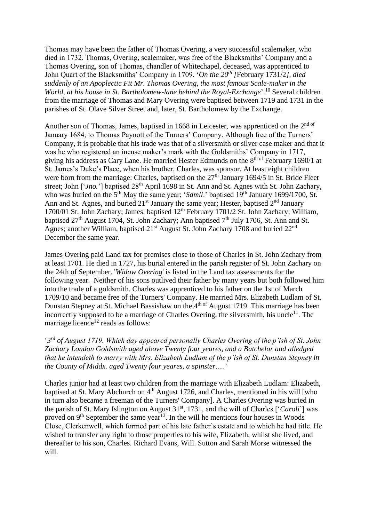Thomas may have been the father of Thomas Overing, a very successful scalemaker, who died in 1732. Thomas, Overing, scalemaker, was free of the Blacksmiths' Company and a Thomas Overing, son of Thomas, chandler of Whitechapel, deceased, was apprenticed to John Quart of the Blacksmiths' Company in 1709. '*On the 20th [*February 1731/2*], died suddenly of an Apoplectic Fit Mr. Thomas Overing, the most famous Scale-maker in the*  World, at his house in St. Bartholomew-lane behind the Royal-Exchange'.<sup>10</sup> Several children from the marriage of Thomas and Mary Overing were baptised between 1719 and 1731 in the parishes of St. Olave Silver Street and, later, St. Bartholomew by the Exchange.

Another son of Thomas, James, baptised in 1668 in Leicester, was apprenticed on the 2<sup>nd of</sup> January 1684, to Thomas Paynott of the Turners' Company. Although free of the Turners' Company, it is probable that his trade was that of a silversmith or silver case maker and that it was he who registered an incuse maker's mark with the Goldsmiths' Company in 1717, giving his address as Cary Lane. He married Hester Edmunds on the 8<sup>th of</sup> February 1690/1 at St. James's Duke's Place, when his brother, Charles, was sponsor. At least eight children were born from the marriage: Charles, baptised on the 27<sup>th</sup> January 1694/5 in St. Bride Fleet street; John ['*Jno*.'] baptised 28<sup>th</sup> April 1698 in St. Ann and St. Agnes with St. John Zachary, who was buried on the 5<sup>th</sup> May the same year; '*Samll*.' baptised 19<sup>th</sup> January 1699/1700, St. Ann and St. Agnes, and buried  $21<sup>st</sup>$  January the same year; Hester, baptised  $2<sup>nd</sup>$  January 1700/01 St. John Zachary; James, baptised 12th February 1701/2 St. John Zachary; William, baptised  $27<sup>th</sup>$  August 1704, St. John Zachary; Ann baptised  $7<sup>th</sup>$  July 1706, St. Ann and St. Agnes; another William, baptised 21<sup>st</sup> August St. John Zachary 1708 and buried 22<sup>nd</sup> December the same year.

James Overing paid Land tax for premises close to those of Charles in St. John Zachary from at least 1701. He died in 1727, his burial entered in the parish register of St. John Zachary on the 24th of September. '*Widow Overing*' is listed in the Land tax assessments for the following year. Neither of his sons outlived their father by many years but both followed him into the trade of a goldsmith. Charles was apprenticed to his father on the 1st of March 1709/10 and became free of the Turners' Company. He married Mrs. Elizabeth Ludlam of St. Dunstan Stepney at St. Michael Bassishaw on the 4<sup>th of</sup> August 1719. This marriage has been incorrectly supposed to be a marriage of Charles Overing, the silversmith, his uncle<sup>11</sup>. The marriage licence<sup>12</sup> reads as follows:

'*3 rd of August 1719. Which day appeared personally Charles Overing of the p'ish of St. John Zachary London Goldsmith aged above Twenty four yeares, and a Batchelor and alledged that he intendeth to marry with Mrs. Elizabeth Ludlam of the p'ish of St. Dunstan Stepney in the County of Middx. aged Twenty four yeares, a spinster*.....'

Charles junior had at least two children from the marriage with Elizabeth Ludlam: Elizabeth, baptised at St. Mary Abchurch on  $4<sup>th</sup>$  August 1726, and Charles, mentioned in his will [who in turn also became a freeman of the Turners' Company]. A Charles Overing was buried in the parish of St. Mary Islington on August 31<sup>st</sup>, 1731, and the will of Charles ['*Caroli*'] was proved on  $9<sup>th</sup>$  September the same year<sup>13</sup>. In the will he mentions four houses in Woods Close, Clerkenwell, which formed part of his late father's estate and to which he had title. He wished to transfer any right to those properties to his wife, Elizabeth, whilst she lived, and thereafter to his son, Charles. Richard Evans, Will. Sutton and Sarah Morse witnessed the will.